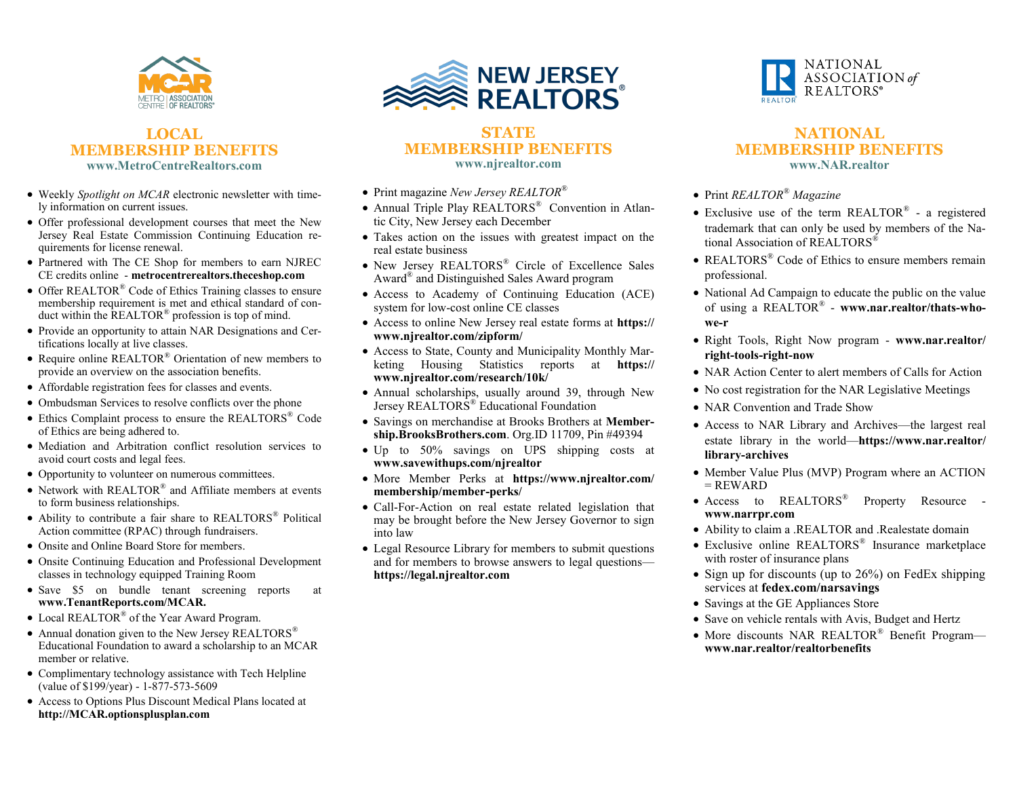

#### **LOCAL MEMBERSHIP BENEFITS www.MetroCentreRealtors.com**

- Weekly *Spotlight on MCAR* electronic newsletter with timely information on current issues.
- Offer professional development courses that meet the New Jersey Real Estate Commission Continuing Education requirements for license renewal.
- Partnered with The CE Shop for members to earn NJREC CE credits online - **metrocentrerealtors.theceshop.com**
- Offer REALTOR® Code of Ethics Training classes to ensure membership requirement is met and ethical standard of conduct within the REALTOR<sup>®</sup> profession is top of mind.
- Provide an opportunity to attain NAR Designations and Certifications locally at live classes.
- Require online REALTOR® Orientation of new members to provide an overview on the association benefits.
- Affordable registration fees for classes and events.
- Ombudsman Services to resolve conflicts over the phone
- Ethics Complaint process to ensure the REALTORS® Code of Ethics are being adhered to.
- Mediation and Arbitration conflict resolution services to avoid court costs and legal fees.
- Opportunity to volunteer on numerous committees.
- Network with REALTOR® and Affiliate members at events to form business relationships.
- Ability to contribute a fair share to REALTORS® Political Action committee (RPAC) through fundraisers.
- Onsite and Online Board Store for members.
- Onsite Continuing Education and Professional Development classes in technology equipped Training Room
- Save \$5 on bundle tenant screening reports at **www.TenantReports.com/MCAR.**
- Local REALTOR<sup>®</sup> of the Year Award Program.
- Annual donation given to the New Jersey REALTORS<sup>®</sup> Educational Foundation to award a scholarship to an MCAR member or relative.
- Complimentary technology assistance with Tech Helpline (value of \$199/year) - 1-877-573-5609
- Access to Options Plus Discount Medical Plans located at **http://MCAR.optionsplusplan.com**



#### **STATE MEMBERSHIP BENEFITS www.njrealtor.com**

- Print magazine *New Jersey REALTOR®*
- Annual Triple Play REALTORS<sup>®</sup> Convention in Atlantic City, New Jersey each December
- Takes action on the issues with greatest impact on the real estate business
- New Jersey REALTORS® Circle of Excellence Sales Award® and Distinguished Sales Award program
- Access to Academy of Continuing Education (ACE) system for low-cost online CE classes
- Access to online New Jersey real estate forms at **https:// www.njrealtor.com/zipform/**
- Access to State, County and Municipality Monthly Marketing Housing Statistics reports at **https:// www.njrealtor.com/research/10k/**
- Annual scholarships, usually around 39, through New Jersey REALTORS® Educational Foundation
- Savings on merchandise at Brooks Brothers at **Membership.BrooksBrothers.com**. Org.ID 11709, Pin #49394
- Up to 50% savings on UPS shipping costs at **www.savewithups.com/njrealtor**
- More Member Perks at **https://www.njrealtor.com/ membership/member-perks/**
- Call-For-Action on real estate related legislation that may be brought before the New Jersey Governor to sign into law
- Legal Resource Library for members to submit questions and for members to browse answers to legal questions **https://legal.njrealtor.com**



#### **NATIONAL MEMBERSHIP BENEFITS www.NAR.realtor**

- Print *REALTOR® Magazine*
- Exclusive use of the term REALTOR® a registered trademark that can only be used by members of the National Association of REALTORS<sup>®</sup>
- REALTORS<sup>®</sup> Code of Ethics to ensure members remain professional.
- National Ad Campaign to educate the public on the value of using a REALTOR® - **www.nar.realtor/thats-whowe-r**
- Right Tools, Right Now program **www.nar.realtor/ right-tools-right-now**
- NAR Action Center to alert members of Calls for Action
- No cost registration for the NAR Legislative Meetings
- NAR Convention and Trade Show
- Access to NAR Library and Archives—the largest real estate library in the world—**https://www.nar.realtor/ library-archives**
- Member Value Plus (MVP) Program where an ACTION  $=$  REWARD
- Access to REALTORS<sup>®</sup> Property Resource **www.narrpr.com**
- Ability to claim a .REALTOR and .Realestate domain
- Exclusive online REALTORS® Insurance marketplace with roster of insurance plans
- Sign up for discounts (up to 26%) on FedEx shipping services at **fedex.com/narsavings**
- Savings at the GE Appliances Store
- Save on vehicle rentals with Avis, Budget and Hertz
- More discounts NAR REALTOR<sup>®</sup> Benefit Program **www.nar.realtor/realtorbenefits**